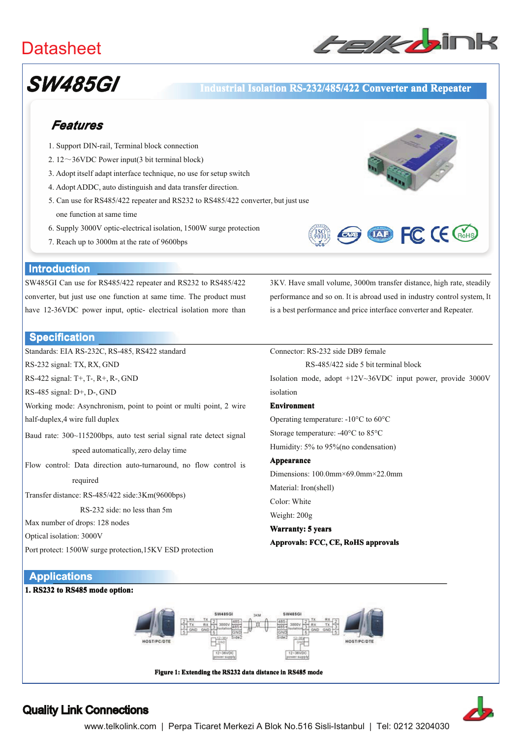## **Datasheet**



# **SW485GI**

### **Industrial Isolation RS-232/485/422 Converter and Repeater**

### **Features**

- 1. Support DIN-rail, Terminal block connection
- 2.  $12 \sim 36$ VDC Power input(3 bit terminal block)
- 3. Adopt itself adapt interface technique, no use for setup switch
- 4. Adopt ADDC, auto distinguish and data transfer direction.
- 5. Can use for RS485/422 repeater and RS232 to RS485/422 converter, but just use
- one function at same time
- 6. Supply 3000V optic-electrical isolation, 1500W surge protection
- 7. Reach up to 3000m at the rate of 9600bps





3KV. Have small volume, 3000m transfer distance, high rate, steadily performance and so on. It is abroad used in industry control system, It

Isolation mode, adopt +12V~36VDC input power, provide 3000V

is a best performance and price interface converter and Repeater.

RS-485/422 side 5 bit terminal block

Connector: RS-232 side DB9 female

Operating temperature: -10°C to 60°C Storage temperature: -40°C to 85°C

Humidity: 5% to 95% (no condensation)

Dimensions: 100.0mm×69.0mm×22.0mm

Approvals: FCC, CE, RoHS approvals

isolation **Environment** 

Appearance

Color: White

Weight: 200g

Material: Iron(shell)

Warranty: 5 years

**Introduction** 

SW485GI Can use for RS485/422 repeater and RS232 to RS485/422 converter, but just use one function at same time. The product must have 12-36VDC power input, optic- electrical isolation more than

### **Specification**

Standards: EIA RS-232C, RS-485, RS422 standard

### RS-232 signal: TX, RX, GND

RS-422 signal: T+, T-, R+, R-, GND

RS-485 signal: D+, D-, GND

Working mode: Asynchronism, point to point or multi point, 2 wire half-duplex, 4 wire full duplex

Baud rate: 300~115200bps, auto test serial signal rate detect signal speed automatically, zero delay time

Flow control: Data direction auto-turnaround, no flow control is

#### required

Transfer distance: RS-485/422 side:3Km(9600bps)

RS-232 side: no less than 5m

Max number of drops: 128 nodes

Optical isolation: 3000V

Port protect: 1500W surge protection, 15KV ESD protection

### **Applications**

### 1. RS232 to RS485 mode option:





### **Quality Link Connections**

www.telkolink.com | Perpa Ticaret Merkezi A Blok No.516 Sisli-Istanbul | Tel: 0212 3204030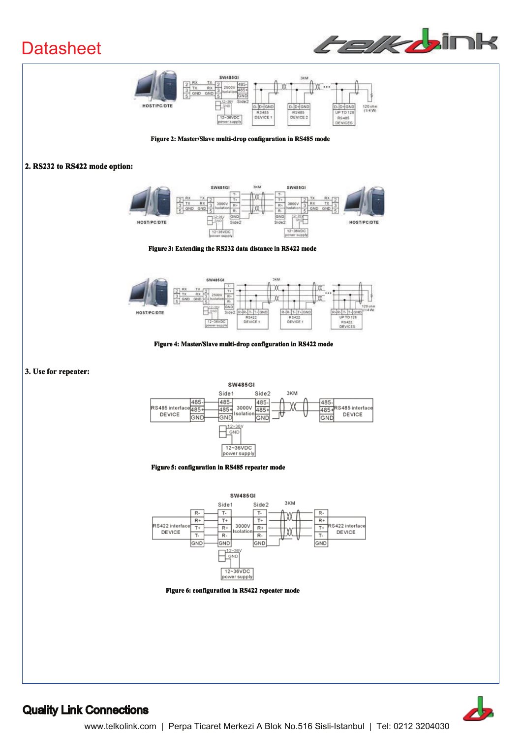## **Datasheet**





Figure 2: Master/Slave multi-drop configuration in RS485 mode

#### 2. RS232 to RS422 mode option:



Figure 3: Extending the RS232 data distance in RS422 mode



Figure 4: Master/Slave multi-drop configuration in RS422 mode

#### 3. Use for repeater:





Figure 6: configuration in RS422 repeater mode



### **Quality Link Connections**